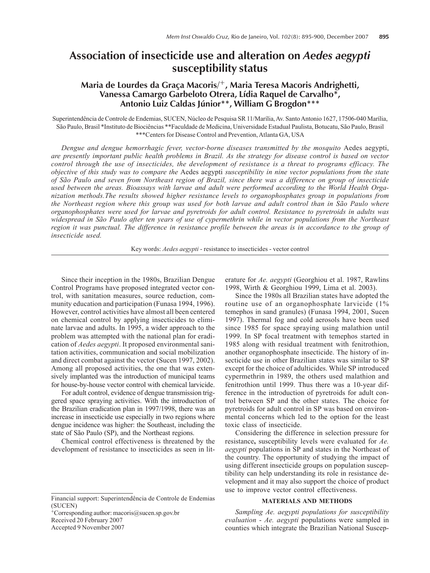# **Association of insecticide use and alteration on** *Aedes aegypti* **susceptibility status**

# **Maria de Lourdes da Graça Macoris/<sup>+</sup>, Maria Teresa Macoris Andrighetti, Vanessa Camargo Garbeloto Otrera, LÌdia Raquel de Carvalho\*,** Antonio Luiz Caldas Júnior\*\*, William G Brogdon\*\*\*

Superintendência de Controle de Endemias, SUCEN, Núcleo de Pesquisa SR 11/Marília, Av. Santo Antonio 1627, 17506-040 Marília, São Paulo, Brasil \*Instituto de Biociências \*\*Faculdade de Medicina, Universidade Estadual Paulista, Botucatu, São Paulo, Brasil \*\*\*Centers for Disease Control and Prevention, Atlanta GA, USA

*Dengue and dengue hemorrhagic fever, vector-borne diseases transmitted by the mosquito* Aedes aegypti, *are presently important public health problems in Brazil. As the strategy for disease control is based on vector control through the use of insecticides, the development of resistance is a threat to programs efficacy. The objective of this study was to compare the* Aedes aegypti *susceptibility in nine vector populations from the state of S"o Paulo and seven from Northeast region of Brazil, since there was a difference on group of insecticide used between the areas. Bioassays with larvae and adult were performed according to the World Health Organization methods.The results showed higher resistance levels to organophosphates group in populations from the Northeast region where this group was used for both larvae and adult control than in São Paulo where organophosphates were used for larvae and pyretroids for adult control. Resistance to pyretroids in adults was widespread in S"o Paulo after ten years of use of cypermethrin while in vector populations from the Northeast region it was punctual. The difference in resistance profile between the areas is in accordance to the group of insecticide used.*

Key words: *Aedes aegypti* - resistance to insecticides - vector control

Since their inception in the 1980s, Brazilian Dengue Control Programs have proposed integrated vector control, with sanitation measures, source reduction, community education and participation (Funasa 1994, 1996). However, control activities have almost all been centered on chemical control by applying insecticides to eliminate larvae and adults. In 1995, a wider approach to the problem was attempted with the national plan for eradication of *Aedes aegypti*. It proposed environmental sanitation activities, communication and social mobilization and direct combat against the vector (Sucen 1997, 2002). Among all proposed activities, the one that was extensively implanted was the introduction of municipal teams for house-by-house vector control with chemical larvicide.

For adult control, evidence of dengue transmission triggered space spraying activities. With the introduction of the Brazilian eradication plan in 1997/1998, there was an increase in insecticide use especially in two regions where dengue incidence was higher: the Southeast, including the state of São Paulo (SP), and the Northeast regions.

Chemical control effectiveness is threatened by the development of resistance to insecticides as seen in lit-

+Corresponding author: macoris@sucen.sp.gov.br Received 20 February 2007 Accepted 9 November 2007

erature for *Ae. aegypti* (Georghiou et al. 1987, Rawlins 1998, Wirth & Georghiou 1999, Lima et al. 2003).

Since the 1980s all Brazilian states have adopted the routine use of an organophosphate larvicide (1% temephos in sand granules) (Funasa 1994, 2001, Sucen 1997). Thermal fog and cold aerosols have been used since 1985 for space spraying using malathion until 1999. In SP focal treatment with temephos started in 1985 along with residual treatment with fenitrothion, another organophosphate insecticide. The history of insecticide use in other Brazilian states was similar to SP except for the choice of adulticides. While SP introduced cypermethrin in 1989, the others used malathion and fenitrothion until 1999. Thus there was a 10-year difference in the introduction of pyretroids for adult control between SP and the other states. The choice for pyretroids for adult control in SP was based on environmental concerns which led to the option for the least toxic class of insecticide.

Considering the difference in selection pressure for resistance**,** susceptibility levels were evaluated for *Ae. aegypti* populations in SP and states in the Northeast of the country. The opportunity of studying the impact of using different insecticide groups on population susceptibility can help understanding its role in resistance development and it may also support the choice of product use to improve vector control effectiveness.

## **MATERIALS AND METHODS**

*Sampling Ae. aegypti populations for susceptibility evaluation* - *Ae. aegypti* populations were sampled in counties which integrate the Brazilian National Suscep-

Financial support: Superintendência de Controle de Endemias (SUCEN)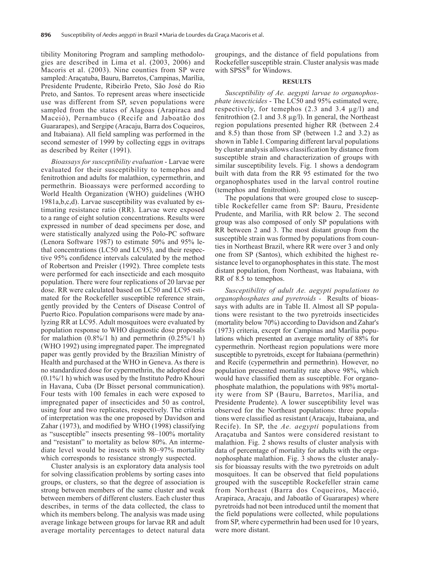tibility Monitoring Program and sampling methodologies are described in Lima et al. (2003, 2006) and Macoris et al. (2003). Nine counties from SP were sampled: Araçatuba, Bauru, Barretos, Campinas, Marília, Presidente Prudente, Ribeirão Preto, São José do Rio Preto, and Santos. To represent areas where insecticide use was different from SP, seven populations were sampled from the states of Alagoas (Arapiraca and Maceió), Pernambuco (Recife and Jaboatão dos Guararapes), and Sergipe (Aracaju, Barra dos Coqueiros, and Itabaiana). All field sampling was performed in the second semester of 1999 by collecting eggs in ovitraps as described by Reiter (1991).

*Bioassays for susceptibility evaluation* - Larvae were evaluated for their susceptibility to temephos and fenitrothion and adults for malathion, cypermethrin, and permethrin. Bioassays were performed according to World Health Organization (WHO) guidelines (WHO 1981a,b,c,d). Larvae susceptibility was evaluated by estimating resistance ratio (RR). Larvae were exposed to a range of eight solution concentrations. Results were expressed in number of dead specimens per dose, and were statistically analyzed using the Polo-PC software (Lenora Software 1987) to estimate 50% and 95% lethal concentrations (LC50 and LC95), and their respective 95% confidence intervals calculated by the method of Robertson and Preisler (1992). Three complete tests were performed for each insecticide and each mosquito population. There were four replications of 20 larvae per dose. RR were calculated based on LC50 and LC95 estimated for the Rockefeller susceptible reference strain, gently provided by the Centers of Disease Control of Puerto Rico. Population comparisons were made by analyzing RR at LC95. Adult mosquitoes were evaluated by population response to WHO diagnostic dose proposals for malathion  $(0.8\%/1)$  h) and permethrin  $(0.25\%/1)$ (WHO 1992) using impregnated paper. The impregnated paper was gently provided by the Brazilian Ministry of Health and purchased at the WHO in Geneva. As there is no standardized dose for cypermethrin, the adopted dose (0.1%/1 h) which was used by the Instituto Pedro Khouri in Havana, Cuba (Dr Bisset personal communication). Four tests with 100 females in each were exposed to impregnated paper of insecticides and 50 as control, using four and two replicates, respectively. The criteria of interpretation was the one proposed by Davidson and Zahar (1973), and modified by WHO (1998) classifying as "susceptible" insects presenting 98–100% mortality and "resistant" to mortality as below 80%. An intermediate level would be insects with  $80-97%$  mortality which corresponds to resistance strongly suspected.

Cluster analysis is an exploratory data analysis tool for solving classification problems by sorting cases into groups, or clusters, so that the degree of association is strong between members of the same cluster and weak between members of different clusters. Each cluster thus describes, in terms of the data collected, the class to which its members belong. The analysis was made using average linkage between groups for larvae RR and adult average mortality percentages to detect natural data groupings, and the distance of field populations from Rockefeller susceptible strain. Cluster analysis was made with  $SPSS^{\textcircled{R}}$  for Windows.

#### **RESULTS**

*Susceptibility of Ae. aegypti larvae to organophosphate insecticides* - The LC50 and 95% estimated were, respectively, for temephos (2.3 and 3.4 µg/l) and fenitrothion (2.1 and 3.8 µg/l). In general, the Northeast region populations presented higher RR (between 2.4 and 8.5) than those from SP (between 1.2 and 3.2) as shown in Table I. Comparing different larval populations by cluster analysis allows classification by distance from susceptible strain and characterization of groups with similar susceptibility levels. Fig. 1 shows a dendogram built with data from the RR 95 estimated for the two organophosphates used in the larval control routine (temephos and fenitrothion).

The populations that were grouped close to susceptible Rockefeller came from SP: Bauru, Presidente Prudente, and Marília, with RR below 2. The second group was also composed of only SP populations with RR between 2 and 3. The most distant group from the susceptible strain was formed by populations from counties in Northeast Brazil, where RR were over 3 and only one from SP (Santos), which exhibited the highest resistance level to organophosphates in this state. The most distant population, from Northeast, was Itabaiana, with RR of 8.5 to temephos.

*Susceptibility of adult Ae. aegypti populations to organophosphates and pyretroids -* Results of bioassays with adults are in Table II. Almost all SP populations were resistant to the two pyretroids insecticides (mortality below 70%) according to Davidson and Zahar's  $(1973)$  criteria, except for Campinas and Marília populations which presented an average mortality of 88% for cypermethrin. Northeast region populations were more susceptible to pyretroids, except for Itabaiana (permethrin) and Recife (cypermethrin and permethrin). However, no population presented mortality rate above 98%, which would have classified them as susceptible. For organophosphate malathion, the populations with 98% mortality were from SP (Bauru, Barretos, Marília, and Presidente Prudente). A lower susceptibility level was observed for the Northeast populations: three populations were classified as resistant (Aracaju, Itabaiana, and Recife). In SP, the *Ae. aegypti* populations from Araçatuba and Santos were considered resistant to malathion. Fig. 2 shows results of cluster analysis with data of percentage of mortality for adults with the organophosphate malathion. Fig. 3 shows the cluster analysis for bioassay results with the two pyretroids on adult mosquitoes. It can be observed that field populations grouped with the susceptible Rockefeller strain came from Northeast (Barra dos Coqueiros, Maceió, Arapiraca, Aracaju, and Jaboatão of Guararapes) where pyretroids had not been introduced until the moment that the field populations were collected, while populations from SP, where cypermethrin had been used for 10 years, were more distant.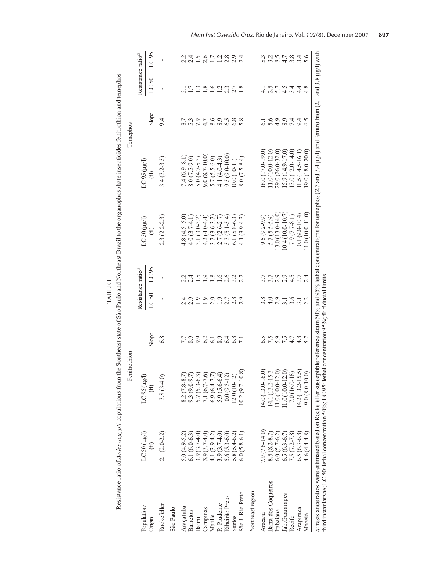|                     |                                                                                   | Fenitrothion                                                                                                      |                  |                  |                               |                     |                      | Temephos         |                               |                                    |
|---------------------|-----------------------------------------------------------------------------------|-------------------------------------------------------------------------------------------------------------------|------------------|------------------|-------------------------------|---------------------|----------------------|------------------|-------------------------------|------------------------------------|
| Population          | $LC50$ ( $\mu$ g/l)                                                               | $LCS( \mu g I)$                                                                                                   |                  |                  | Resistance ratio <sup>a</sup> | $LC50(\mu gI)$      | $LC$ 95 ( $\mu$ g/l) |                  | Resistance ratio <sup>a</sup> |                                    |
| Origin              | $\oplus$                                                                          | $\widehat{\Xi}$                                                                                                   | Slope            | LC <sub>50</sub> | LC95                          | $\oplus$            | $\oplus$             | Slope            | LC <sub>50</sub>              | LC <sub>95</sub>                   |
| Rockefeller         | $2.1(2.0-2.2)$                                                                    | $3.8(3-4.0)$                                                                                                      | 6.8              | ı                |                               | $2.3(2.2-2.3)$      | $3.4(3.2 - 3.5)$     | 9.4              | ı                             |                                    |
| São Paulo           |                                                                                   |                                                                                                                   |                  |                  |                               |                     |                      |                  |                               |                                    |
| Araçatuba           | $5.0(4.9 - 5.2)$                                                                  | $8.2(7.8-8.7)$                                                                                                    |                  | 2.4              |                               | $4.8(4.5 - 5.0)$    | $7.4(6.9-8.1)$       |                  |                               |                                    |
| Barretos            | $6.1(6.0-6.3)$                                                                    | $9.3(9.0-9.7)$                                                                                                    | 8.9              | 2.9              | 2.4                           | $4.0(3.7-4.1)$      | $8.0(7.5-9.0)$       | 5.3              |                               | $\overline{\mathcal{A}}$<br>$\sim$ |
| Bauru               |                                                                                   | $5.7(5.3-6.3)$                                                                                                    | 9.9              | 1.9              | $\frac{15}{10}$               | $3.1(3.0 - 3.2)$    | $5.0(4.7-5.3)$       | 7.9              | 112212122                     | $1.951894$<br>$-2.9594$            |
| Campinas            | $\begin{array}{c} 3.9 \ (3.74.0) \\ 3.9 \ (3.74.0) \\ 4.1 \ (3.94.2) \end{array}$ | $7.1(6.7-7.6)$                                                                                                    | 6.2              |                  |                               | $4.2(4.0 - 4.4)$    | $9.0(8.7 - 10.0)$    | 4.7              |                               |                                    |
| Marilia             |                                                                                   | $6.9(6.4 - 7.7)$                                                                                                  | $6.1$<br>8.9     | 2.0              | $\frac{8}{1.6}$               | $3.7(3.6 - 3.7)$    | $5.7(5.5-6.0)$       | $8.96$<br>$6.88$ |                               |                                    |
| P. Prudente         | $3.9(3.74.0)$<br>$5.6(5.3-6.0)$                                                   | 5.9 (5.6-6.4                                                                                                      |                  |                  |                               | $2.7(2.6 - 2.7)$    | $4.1(4.0 - 4.3)$     |                  |                               |                                    |
| Ribeirão Preto      |                                                                                   | $10.0(9.3 - 12)$                                                                                                  | 6.4              | $-289$<br>$-289$ | 2.6                           | $5.3(5.1-5.4)$      | $9.5(9.0 - 10.0)$    |                  |                               |                                    |
| Santos              | 5.8 $(5.4-6.2)$                                                                   | $12.0(10-12)$                                                                                                     | 6.8              |                  | 3.2                           | $6.1(5.8-6.3)$      | (0.01100111)         | 6.8              |                               |                                    |
| São J. Rio Preto    | $6.0(5.8-6.1)$                                                                    | $\widehat{\infty}$<br>$.02(9.7-10)$                                                                               | $\overline{7.1}$ |                  |                               | $4.1(3.9-4.3)$      | $8.0(7.5-8.4)$       | 5.8              |                               |                                    |
| Northeast region    |                                                                                   |                                                                                                                   |                  |                  |                               |                     |                      |                  |                               |                                    |
| Aracajú             | 7.9 (7.6-14.0)                                                                    |                                                                                                                   | 6.5              |                  |                               | $9.5(9.2-9.9)$      | 8.0 (17.0-19.0)      |                  |                               |                                    |
| Barra dos Coqueiros | $8.5(8.2-8.7)$                                                                    |                                                                                                                   | 7.5              | 4.0              | 3.7                           | $5.7(5.5-5.9)$      | $1.0(10.0-12.0)$     | 5.6              |                               | نہ ن                               |
| Itabaiana           | $6.0(5.7-6.2)$                                                                    | $\begin{array}{c} 14.0 \,(13.0\text{-}16.0) \\ 14.1 \,(13.2\text{-}15.3 \\ 11.0 \,(10.0\text{-}12.0) \end{array}$ | 5.9              | 2.9              | 2.9                           | $13.0(13.0 - 14.0)$ | 29.0 (26.0-32.0)     |                  | $7.547$<br>$7.547$            | ${}^{\circ}$                       |
| Jab. Guararapes     |                                                                                   |                                                                                                                   | $7.5$<br>4.7     | 3.1              | 2.9                           | $10.4(10.0 - 10.7$  | $15.9(14.9 - 17.0)$  |                  |                               | 4.7                                |
| Recife              | $6.5(6.3-6.7)$<br>$7.5(7.2-7.8)$<br>$6.5(6.3-6.8)$                                | $\begin{array}{c} 11.0\,(10.0\text{-}12.0)\\ 17.0\,(16.0\text{-}18) \end{array}$                                  |                  | 3.6              | 4.5                           | $7.9(7.7-8.1)$      | $13.0(12.0 - 14.0)$  | $6.8 \over 7.4$  |                               | 3.8                                |
| Агариаса            |                                                                                   | $14.2(13.2 - 15.5)$                                                                                               | 4.8              | 3.1              | 3.7                           | $10.1(9.8 - 10.4)$  | $1.5(14.5-16.1)$     | 9.4              | 44                            | 3.4                                |
| Maceió              | 4.6 (4.4-4.8)                                                                     | $9.0(8.0 - 10.0)$                                                                                                 |                  | S<br>$\sim$      | 2.4                           | $1.0(10.0-11.0)$    | $9.0(18.0-20.0)$     | 6.5              | 4.8                           | 5.6                                |

*Mem Inst Oswaldo Cruz,* Rio de Janeiro, Vol. *102*(8), December 2007 897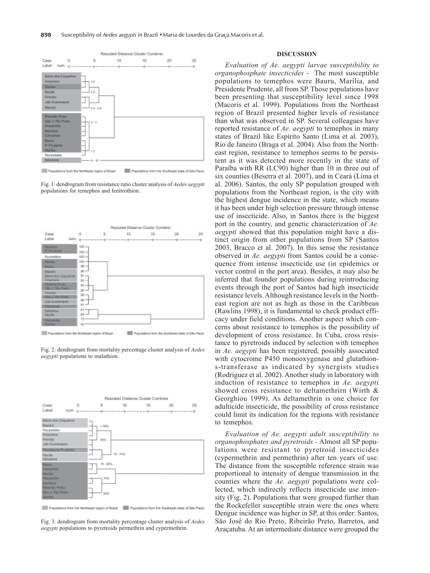

Populations from the Northeast region of Brazil Populations from the Southeast state of São Paulo

Fig. 1: dendrogram from resistance ratio cluster analysis of *Aedes aegypti* populations for temephos and fenitrothion.



Posulations from the Northeast region of Road Presidence from the Southeast state of São Paulo

Fig. 2: dendrogram from mortality percentage cluster analysis of *Aedes aegypti* populations to malathion.



Populations from the Northeast region of Brazil Populations from the Southeast state of São Paulo

Fig. 3: dendrogram from mortality percentage cluster analysis of *Aedes aegypti* populations to pyretroids permethrin and cypermethrin.

## **DISCUSSION**

*Evaluation of Ae. aegypti larvae susceptibility to organophosphate insecticides* - The most susceptible populations to temephos were Bauru, Marília, and Presidente Prudente, all from SP. Those populations have been presenting that susceptibility level since 1998 (Macoris et al. 1999). Populations from the Northeast region of Brazil presented higher levels of resistance than what was observed in SP. Several colleagues have reported resistance of *Ae. aegypti* to temephos in many states of Brazil like Espírito Santo (Lima et al. 2003), Rio de Janeiro (Braga et al. 2004). Also from the Northeast region, resistance to temephos seems to be persistent as it was detected more recently in the state of Paraíba with RR (LC90) higher than 10 in three out of six counties (Beserra et al. 2007), and in Ceará (Lima et al. 2006). Santos, the only SP population grouped with populations from the Northeast region, is the city with the highest dengue incidence in the state, which means it has been under high selection pressure through intense use of insecticide. Also, in Santos there is the biggest port in the country, and genetic characterization of *Ae. aegypti* showed that this population might have a distinct origin from other populations from SP (Santos 2003, Bracco et al. 2007). In this sense the resistance observed in *Ae. aegypti* from Santos could be a consequence from intense insecticide use (in epidemics or vector control in the port area). Besides, it may also be inferred that founder populations during reintroducing events through the port of Santos had high insecticide resistance levels. Although resistance levels in the Northeast region are not as high as those in the Caribbean (Rawlins 1998), it is fundamental to check product efficacy under field conditions. Another aspect which concerns about resistance to temephos is the possibility of development of cross resistance. In Cuba, cross resistance to pyretroids induced by selection with temephos in *Ae. aegypti* has been registered, possibly associated with cytocrome P450 monooxygenase and glutathions-transferase as indicated by synergists studies (Rodriguez et al. 2002). Another study in laboratory with induction of resistance to temephos in *Ae. aegypti* showed cross resistance to deltamethrirn (Wirth & Georghiou 1999). As deltamethrin is one choice for adulticide insecticide, the possibility of cross resistance could limit its indication for the regions with resistance to temephos.

*Evaluation of Ae. aegypti adult susceptibility to organophosphates and pyretroids -* Almost all SP populations were resistant to pyretroid insecticides (cypermethrin and permethrin) after ten years of use. The distance from the susceptible reference strain was proportional to intensity of dengue transmission in the counties where the *Ae. aegypti* populations were collected, which indirectly reflects insecticide use intensity (Fig. 2). Populations that were grouped further than the Rockefeller susceptible strain were the ones where Dengue incidence was higher in SP, at this order: Santos, São José do Rio Preto, Ribeirão Preto, Barretos, and Aracatuba. At an intermediate distance were grouped the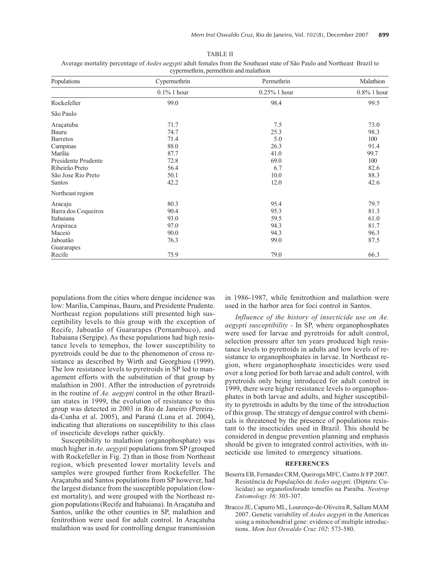| Populations         | сурстнении, регисении аналианной<br>Cypermethrin | Permethrin      | Malathion      |
|---------------------|--------------------------------------------------|-----------------|----------------|
|                     | $0.1\%$ 1 hour                                   | $0.25\%$ 1 hour | $0.8\%$ 1 hour |
| Rockefeller         | 99.0                                             | 98.4            | 99.5           |
| São Paulo           |                                                  |                 |                |
| Araçatuba           | 71.7                                             | 7.5             | 73.0           |
| Bauru               | 74.7                                             | 25.3            | 98.3           |
| <b>Barretos</b>     | 71.4                                             | 5.0             | 100            |
| Campinas            | 88.0                                             | 26.3            | 91.4           |
| Marília             | 87.7                                             | 41.0            | 99.7           |
| Presidente Prudente | 72.8                                             | 69.0            | 100            |
| Ribeirão Preto      | 56.4                                             | 6.7             | 82.6           |
| São Jose Rio Preto  | 50.1                                             | 10.0            | 88.3           |
| Santos              | 42.2                                             | 12.0            | 42.6           |
| Northeast region    |                                                  |                 |                |
| Aracaju             | 80.3                                             | 95.4            | 79.7           |
| Barra dos Coqueiros | 90.4                                             | 95.3            | 81.3           |
| Itabaiana           | 93.0                                             | 59.5            | 61.0           |
| Arapiraca           | 97.0                                             | 94.3            | 81.7           |
| Maceió              | 90.0                                             | 94.3            | 96.3           |
| Jaboatão            | 76.3                                             | 99.0            | 87.5           |
| Guararapes          |                                                  |                 |                |
| Recife              | 75.9                                             | 79.0            | 66.3           |

TABLE II

Average mortality percentage of *Aedes aegypti* adult females from the Southeast state of S"o Paulo and Northeast Brazil to cypermethrin, permethrin and malathion

populations from the cities where dengue incidence was low: Marilia, Campinas, Bauru, and Presidente Prudente. Northeast region populations still presented high susceptibility levels to this group with the exception of Recife, Jaboatão of Guararapes (Pernambuco), and Itabaiana (Sergipe). As these populations had high resistance levels to temephos, the lower susceptibility to pyretroids could be due to the phenomenon of cross resistance as described by Wirth and Georghiou (1999). The low resistance levels to pyretroids in SP led to management efforts with the substitution of that group by malathion in 2001. Affter the introduction of pyretroids in the routine of *Ae. aegypti* control in the other Brazilian states in 1999, the evolution of resistance to this group was detected in 2003 in Rio de Janeiro (Pereirada-Cunha et al. 2005), and Paraná (Luna et al. 2004), indicating that alterations on susceptibility to this class of insecticide develops rather quickly.

Susceptibility to malathion (organophosphate) was much higher in *Ae. aegypti* populations from SP (grouped with Rockefeller in Fig. 2) than in those from Northeast region, which presented lower mortality levels and samples were grouped further from Rockefeller. The Araçatuba and Santos populations from SP however, had the largest distance from the susceptible population (lowest mortality), and were grouped with the Northeast region populations (Recife and Itabaiana). In Araçatuba and Santos, unlike the other counties in SP, malathion and fenitrothion were used for adult control. In Araçatuba malathion was used for controlling dengue transmission

in 1986-1987, while fenitrothion and malathion were used in the harbor area for foci control in Santos.

*Influence of the history of insecticide use on Ae. aegypti susceptibility -* In SP, where organophosphates were used for larvae and pyretroids for adult control, selection pressure after ten years produced high resistance levels to pyretroids in adults and low levels of resistance to organophosphates in larvae. In Northeast region, where organophosphate insecticides were used over a long period for both larvae and adult control, with pyretroids only being introduced for adult control in 1999, there were higher resistance levels to organophosphates in both larvae and adults, and higher susceptibility to pyretroids in adults by the time of the introduction of this group. The strategy of dengue control with chemicals is threatened by the presence of populations resistant to the insecticides used in Brazil. This should be considered in dengue prevention planning and emphasis should be given to integrated control activities, with insecticide use limited to emergency situations.

#### **REFERENCES**

- Beserra EB, Fernandes CRM, Queiroga MFC, Castro Jr FP 2007. Resistência de Populações de *Aedes aegypti*. (Diptera: Culicidae) ao organofosforado temefós na Paraíba. Neotrop *Entomology 36*: 303-307.
- Bracco JE, Capurro ML, Lourenço-de-Oliveira R, Sallum MAM 2007. Genetic variability of *Aedes aegypti* in the Americas using a mitochondrial gene: evidence of multiple introductions. *Mem Inst Oswaldo Cruz 102*: 573-580.